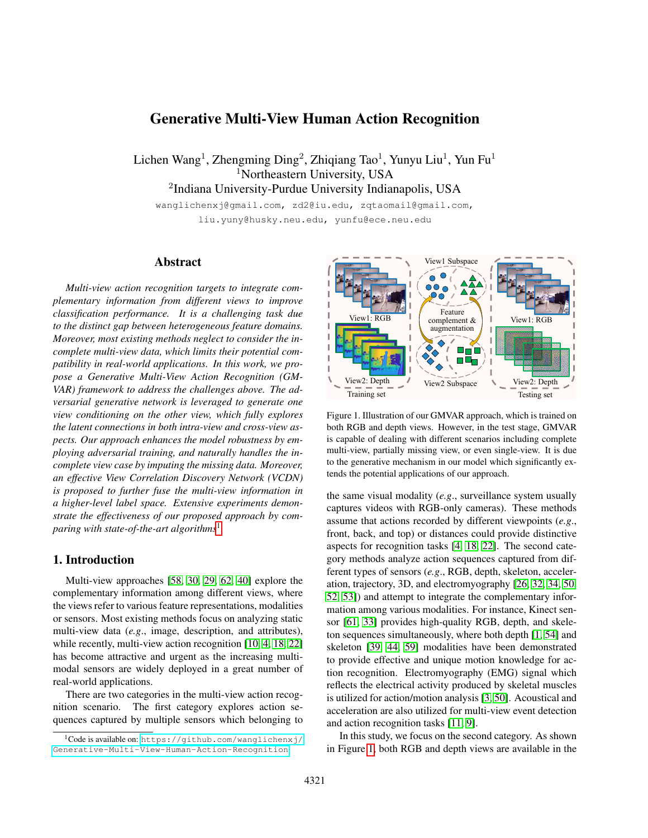# Generative Multi-View Human Action Recognition

Lichen Wang<sup>1</sup>, Zhengming Ding<sup>2</sup>, Zhiqiang Tao<sup>1</sup>, Yunyu Liu<sup>1</sup>, Yun Fu<sup>1</sup><br><sup>1</sup>Northeastern University, USA <sup>1</sup>Northeastern University, USA

2 Indiana University-Purdue University Indianapolis, USA

wanglichenxj@gmail.com, zd2@iu.edu, zqtaomail@gmail.com, liu.yuny@husky.neu.edu, yunfu@ece.neu.edu

#### Abstract

*Multi-view action recognition targets to integrate complementary information from different views to improve classification performance. It is a challenging task due to the distinct gap between heterogeneous feature domains. Moreover, most existing methods neglect to consider the incomplete multi-view data, which limits their potential compatibility in real-world applications. In this work, we propose a Generative Multi-View Action Recognition (GM-VAR) framework to address the challenges above. The adversarial generative network is leveraged to generate one view conditioning on the other view, which fully explores the latent connections in both intra-view and cross-view aspects. Our approach enhances the model robustness by employing adversarial training, and naturally handles the incomplete view case by imputing the missing data. Moreover, an effective View Correlation Discovery Network (VCDN) is proposed to further fuse the multi-view information in a higher-level label space. Extensive experiments demonstrate the effectiveness of our proposed approach by comparing with state-of-the-art algorithms*[1](#page-0-0) *.*

# 1. Introduction

Multi-view approaches [\[58,](#page-9-0) [30,](#page-8-0) [29,](#page-8-1) [62,](#page-9-1) [40\]](#page-9-2) explore the complementary information among different views, where the views refer to various feature representations, modalities or sensors. Most existing methods focus on analyzing static multi-view data (*e.g*., image, description, and attributes), while recently, multi-view action recognition [\[10,](#page-8-2) [4,](#page-8-3) [18,](#page-8-4) [22\]](#page-8-5) has become attractive and urgent as the increasing multimodal sensors are widely deployed in a great number of real-world applications.

There are two categories in the multi-view action recognition scenario. The first category explores action sequences captured by multiple sensors which belonging to



<span id="page-0-1"></span>Figure 1. Illustration of our GMVAR approach, which is trained on both RGB and depth views. However, in the test stage, GMVAR is capable of dealing with different scenarios including complete multi-view, partially missing view, or even single-view. It is due to the generative mechanism in our model which significantly extends the potential applications of our approach.

the same visual modality (*e.g*., surveillance system usually captures videos with RGB-only cameras). These methods assume that actions recorded by different viewpoints (*e.g*., front, back, and top) or distances could provide distinctive aspects for recognition tasks [\[4,](#page-8-3) [18,](#page-8-4) [22\]](#page-8-5). The second category methods analyze action sequences captured from different types of sensors (*e.g*., RGB, depth, skeleton, acceleration, trajectory, 3D, and electromyography [\[26,](#page-8-6) [32,](#page-8-7) [34,](#page-9-3) [50,](#page-9-4) [52,](#page-9-5) [53\]](#page-9-6)) and attempt to integrate the complementary information among various modalities. For instance, Kinect sensor [\[61,](#page-9-7) [33\]](#page-9-8) provides high-quality RGB, depth, and skeleton sequences simultaneously, where both depth [\[1,](#page-8-8) [54\]](#page-9-9) and skeleton [\[39,](#page-9-10) [44,](#page-9-11) [59\]](#page-9-12) modalities have been demonstrated to provide effective and unique motion knowledge for action recognition. Electromyography (EMG) signal which reflects the electrical activity produced by skeletal muscles is utilized for action/motion analysis [\[3,](#page-8-9) [50\]](#page-9-4). Acoustical and acceleration are also utilized for multi-view event detection and action recognition tasks [\[11,](#page-8-10) [9\]](#page-8-11).

In this study, we focus on the second category. As shown in Figure [1,](#page-0-1) both RGB and depth views are available in the

<span id="page-0-0"></span><sup>1</sup>Code is available on: [https://github.com/wanglichenxj/](https://github.com/wanglichenxj/Generative-Multi-View-Human-Action-Recognition) [Generative-Multi-View-Human-Action-Recognition](https://github.com/wanglichenxj/Generative-Multi-View-Human-Action-Recognition)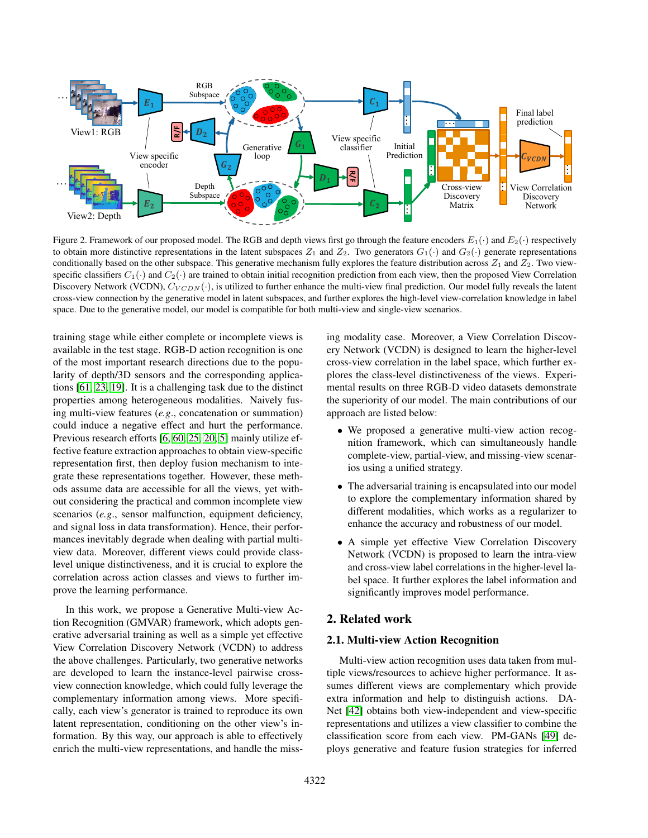

<span id="page-1-0"></span>Figure 2. Framework of our proposed model. The RGB and depth views first go through the feature encoders  $E_1(\cdot)$  and  $E_2(\cdot)$  respectively to obtain more distinctive representations in the latent subspaces  $Z_1$  and  $Z_2$ . Two generators  $G_1(\cdot)$  and  $G_2(\cdot)$  generate representations conditionally based on the other subspace. This generative mechanism fully explores the feature distribution across  $Z_1$  and  $Z_2$ . Two viewspecific classifiers  $C_1(\cdot)$  and  $C_2(\cdot)$  are trained to obtain initial recognition prediction from each view, then the proposed View Correlation Discovery Network (VCDN),  $C_{VCDN}(\cdot)$ , is utilized to further enhance the multi-view final prediction. Our model fully reveals the latent cross-view connection by the generative model in latent subspaces, and further explores the high-level view-correlation knowledge in label space. Due to the generative model, our model is compatible for both multi-view and single-view scenarios.

training stage while either complete or incomplete views is available in the test stage. RGB-D action recognition is one of the most important research directions due to the popularity of depth/3D sensors and the corresponding applications [\[61,](#page-9-7) [23,](#page-8-12) [19\]](#page-8-13). It is a challenging task due to the distinct properties among heterogeneous modalities. Naively fusing multi-view features (*e.g*., concatenation or summation) could induce a negative effect and hurt the performance. Previous research efforts [\[6,](#page-8-14) [60,](#page-9-13) [25,](#page-8-15) [20,](#page-8-16) [5\]](#page-8-17) mainly utilize effective feature extraction approaches to obtain view-specific representation first, then deploy fusion mechanism to integrate these representations together. However, these methods assume data are accessible for all the views, yet without considering the practical and common incomplete view scenarios (*e.g*., sensor malfunction, equipment deficiency, and signal loss in data transformation). Hence, their performances inevitably degrade when dealing with partial multiview data. Moreover, different views could provide classlevel unique distinctiveness, and it is crucial to explore the correlation across action classes and views to further improve the learning performance.

In this work, we propose a Generative Multi-view Action Recognition (GMVAR) framework, which adopts generative adversarial training as well as a simple yet effective View Correlation Discovery Network (VCDN) to address the above challenges. Particularly, two generative networks are developed to learn the instance-level pairwise crossview connection knowledge, which could fully leverage the complementary information among views. More specifically, each view's generator is trained to reproduce its own latent representation, conditioning on the other view's information. By this way, our approach is able to effectively enrich the multi-view representations, and handle the missing modality case. Moreover, a View Correlation Discovery Network (VCDN) is designed to learn the higher-level cross-view correlation in the label space, which further explores the class-level distinctiveness of the views. Experimental results on three RGB-D video datasets demonstrate the superiority of our model. The main contributions of our approach are listed below:

- We proposed a generative multi-view action recognition framework, which can simultaneously handle complete-view, partial-view, and missing-view scenarios using a unified strategy.
- The adversarial training is encapsulated into our model to explore the complementary information shared by different modalities, which works as a regularizer to enhance the accuracy and robustness of our model.
- A simple yet effective View Correlation Discovery Network (VCDN) is proposed to learn the intra-view and cross-view label correlations in the higher-level label space. It further explores the label information and significantly improves model performance.

# 2. Related work

# 2.1. Multi-view Action Recognition

Multi-view action recognition uses data taken from multiple views/resources to achieve higher performance. It assumes different views are complementary which provide extra information and help to distinguish actions. DA-Net [\[42\]](#page-9-14) obtains both view-independent and view-specific representations and utilizes a view classifier to combine the classification score from each view. PM-GANs [\[49\]](#page-9-15) deploys generative and feature fusion strategies for inferred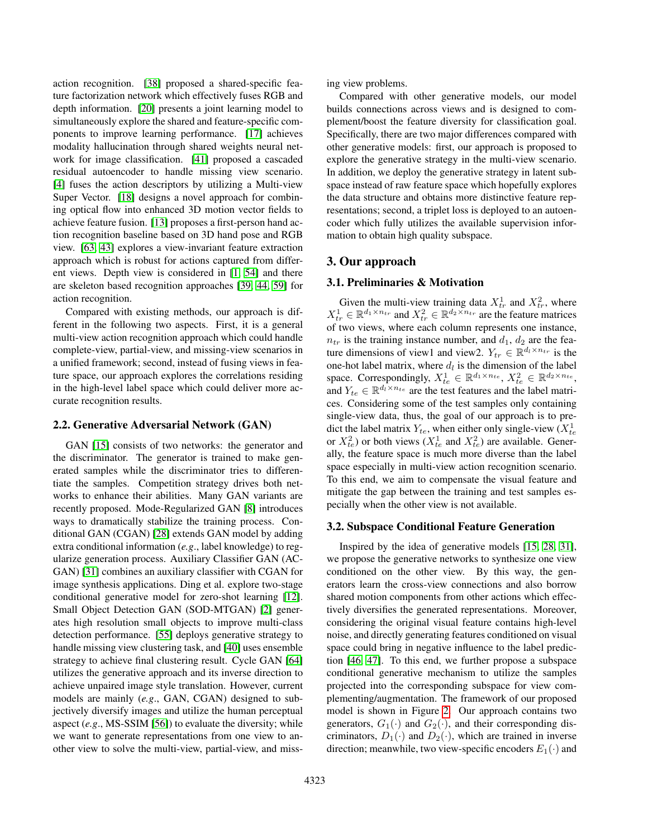action recognition. [\[38\]](#page-9-16) proposed a shared-specific feature factorization network which effectively fuses RGB and depth information. [\[20\]](#page-8-16) presents a joint learning model to simultaneously explore the shared and feature-specific components to improve learning performance. [\[17\]](#page-8-18) achieves modality hallucination through shared weights neural network for image classification. [\[41\]](#page-9-17) proposed a cascaded residual autoencoder to handle missing view scenario. [\[4\]](#page-8-3) fuses the action descriptors by utilizing a Multi-view Super Vector. [\[18\]](#page-8-4) designs a novel approach for combining optical flow into enhanced 3D motion vector fields to achieve feature fusion. [\[13\]](#page-8-19) proposes a first-person hand action recognition baseline based on 3D hand pose and RGB view. [\[63,](#page-9-18) [43\]](#page-9-19) explores a view-invariant feature extraction approach which is robust for actions captured from different views. Depth view is considered in [\[1,](#page-8-8) [54\]](#page-9-9) and there are skeleton based recognition approaches [\[39,](#page-9-10) [44,](#page-9-11) [59\]](#page-9-12) for action recognition.

Compared with existing methods, our approach is different in the following two aspects. First, it is a general multi-view action recognition approach which could handle complete-view, partial-view, and missing-view scenarios in a unified framework; second, instead of fusing views in feature space, our approach explores the correlations residing in the high-level label space which could deliver more accurate recognition results.

### 2.2. Generative Adversarial Network (GAN)

GAN [\[15\]](#page-8-20) consists of two networks: the generator and the discriminator. The generator is trained to make generated samples while the discriminator tries to differentiate the samples. Competition strategy drives both networks to enhance their abilities. Many GAN variants are recently proposed. Mode-Regularized GAN [\[8\]](#page-8-21) introduces ways to dramatically stabilize the training process. Conditional GAN (CGAN) [\[28\]](#page-8-22) extends GAN model by adding extra conditional information (*e.g*., label knowledge) to regularize generation process. Auxiliary Classifier GAN (AC-GAN) [\[31\]](#page-8-23) combines an auxiliary classifier with CGAN for image synthesis applications. Ding et al. explore two-stage conditional generative model for zero-shot learning [\[12\]](#page-8-24). Small Object Detection GAN (SOD-MTGAN) [\[2\]](#page-8-25) generates high resolution small objects to improve multi-class detection performance. [\[55\]](#page-9-20) deploys generative strategy to handle missing view clustering task, and [\[40\]](#page-9-2) uses ensemble strategy to achieve final clustering result. Cycle GAN [\[64\]](#page-9-21) utilizes the generative approach and its inverse direction to achieve unpaired image style translation. However, current models are mainly (*e.g*., GAN, CGAN) designed to subjectively diversify images and utilize the human perceptual aspect (*e.g*., MS-SSIM [\[56\]](#page-9-22)) to evaluate the diversity; while we want to generate representations from one view to another view to solve the multi-view, partial-view, and missing view problems.

Compared with other generative models, our model builds connections across views and is designed to complement/boost the feature diversity for classification goal. Specifically, there are two major differences compared with other generative models: first, our approach is proposed to explore the generative strategy in the multi-view scenario. In addition, we deploy the generative strategy in latent subspace instead of raw feature space which hopefully explores the data structure and obtains more distinctive feature representations; second, a triplet loss is deployed to an autoencoder which fully utilizes the available supervision information to obtain high quality subspace.

# 3. Our approach

# 3.1. Preliminaries & Motivation

Given the multi-view training data  $X_{tr}^1$  and  $X_{tr}^2$ , where  $X_{tr}^1 \in \mathbb{R}^{d_1 \times n_{tr}}$  and  $X_{tr}^2 \in \mathbb{R}^{d_2 \times n_{tr}}$  are the feature matrices of two views, where each column represents one instance,  $n_{tr}$  is the training instance number, and  $d_1$ ,  $d_2$  are the feature dimensions of view1 and view2.  $Y_{tr} \in \mathbb{R}^{d_l \times n_{tr}}$  is the one-hot label matrix, where  $d_l$  is the dimension of the label space. Correspondingly,  $X_{te}^1 \in \mathbb{R}^{d_1 \times n_{te}}, X_{te}^2 \in \mathbb{R}^{d_2 \times n_{te}},$ and  $Y_{te} \in \mathbb{R}^{d_l \times n_{te}}$  are the test features and the label matrices. Considering some of the test samples only containing single-view data, thus, the goal of our approach is to predict the label matrix  $Y_{te}$ , when either only single-view  $(X_{te}^1)$ or  $X_{te}^2$ ) or both views  $(X_{te}^1$  and  $X_{te}^2)$  are available. Generally, the feature space is much more diverse than the label space especially in multi-view action recognition scenario. To this end, we aim to compensate the visual feature and mitigate the gap between the training and test samples especially when the other view is not available.

#### 3.2. Subspace Conditional Feature Generation

Inspired by the idea of generative models [\[15,](#page-8-20) [28,](#page-8-22) [31\]](#page-8-23), we propose the generative networks to synthesize one view conditioned on the other view. By this way, the generators learn the cross-view connections and also borrow shared motion components from other actions which effectively diversifies the generated representations. Moreover, considering the original visual feature contains high-level noise, and directly generating features conditioned on visual space could bring in negative influence to the label prediction [\[46,](#page-9-23) [47\]](#page-9-24). To this end, we further propose a subspace conditional generative mechanism to utilize the samples projected into the corresponding subspace for view complementing/augmentation. The framework of our proposed model is shown in Figure [2.](#page-1-0) Our approach contains two generators,  $G_1(\cdot)$  and  $G_2(\cdot)$ , and their corresponding discriminators,  $D_1(\cdot)$  and  $D_2(\cdot)$ , which are trained in inverse direction; meanwhile, two view-specific encoders  $E_1(\cdot)$  and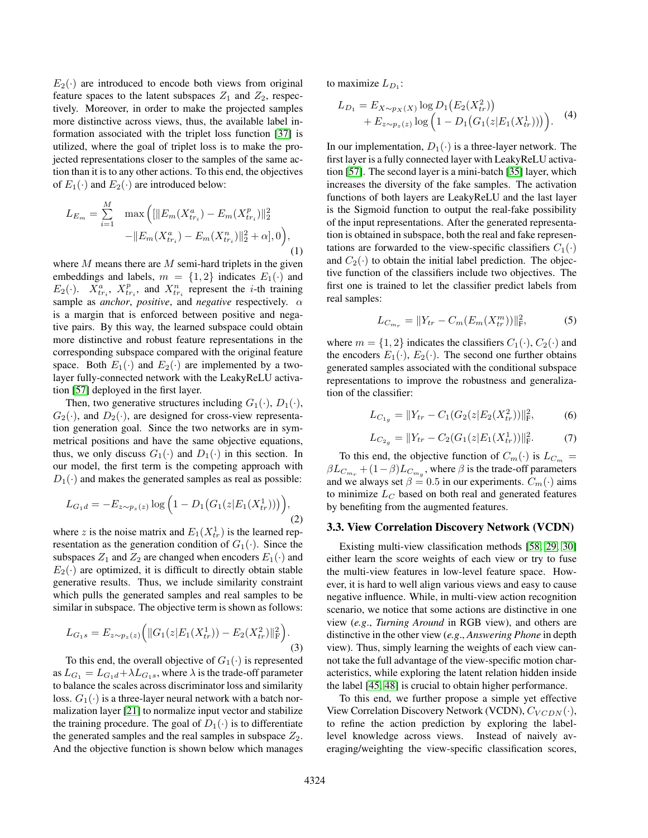$E_2(\cdot)$  are introduced to encode both views from original feature spaces to the latent subspaces  $Z_1$  and  $Z_2$ , respectively. Moreover, in order to make the projected samples more distinctive across views, thus, the available label information associated with the triplet loss function [\[37\]](#page-9-25) is utilized, where the goal of triplet loss is to make the projected representations closer to the samples of the same action than it is to any other actions. To this end, the objectives of  $E_1(\cdot)$  and  $E_2(\cdot)$  are introduced below:

$$
L_{E_m} = \sum_{i=1}^{M} \max \left( \left[ \left\| E_m(X_{tr_i}^a) - E_m(X_{tr_i}^p) \right\|_2^2 - \left\| E_m(X_{tr_i}^a) - E_m(X_{tr_i}^n) \right\|_2^2 + \alpha \right], 0 \right), \tag{1}
$$

where  $M$  means there are  $M$  semi-hard triplets in the given embeddings and labels,  $m = \{1, 2\}$  indicates  $E_1(\cdot)$  and  $E_2(\cdot)$ .  $\bar{X}_{tr_i}^a$ ,  $X_{tr_i}^p$ , and  $X_{tr_i}^n$  represent the *i*-th training sample as *anchor*, *positive*, and *negative* respectively. α is a margin that is enforced between positive and negative pairs. By this way, the learned subspace could obtain more distinctive and robust feature representations in the corresponding subspace compared with the original feature space. Both  $E_1(\cdot)$  and  $E_2(\cdot)$  are implemented by a twolayer fully-connected network with the LeakyReLU activation [\[57\]](#page-9-26) deployed in the first layer.

Then, two generative structures including  $G_1(\cdot)$ ,  $D_1(\cdot)$ ,  $G_2(\cdot)$ , and  $D_2(\cdot)$ , are designed for cross-view representation generation goal. Since the two networks are in symmetrical positions and have the same objective equations, thus, we only discuss  $G_1(\cdot)$  and  $D_1(\cdot)$  in this section. In our model, the first term is the competing approach with  $D_1(\cdot)$  and makes the generated samples as real as possible:

$$
L_{G_1d} = -E_{z \sim p_z(z)} \log \left( 1 - D_1(G_1(z|E_1(X_{tr}^1))) \right),\tag{2}
$$

where z is the noise matrix and  $E_1(X_{tr}^1)$  is the learned representation as the generation condition of  $G_1(\cdot)$ . Since the subspaces  $Z_1$  and  $Z_2$  are changed when encoders  $E_1(\cdot)$  and  $E_2(\cdot)$  are optimized, it is difficult to directly obtain stable generative results. Thus, we include similarity constraint which pulls the generated samples and real samples to be similar in subspace. The objective term is shown as follows:

$$
L_{G_1s} = E_{z \sim p_z(z)} \Big( \| G_1(z) E_1(X_{tr}^1) - E_2(X_{tr}^2) \|_{\text{F}}^2 \Big).
$$
\n(3)

To this end, the overall objective of  $G_1(\cdot)$  is represented as  $L_{G_1} = L_{G_1d} + \lambda L_{G_1s}$ , where  $\lambda$  is the trade-off parameter to balance the scales across discriminator loss and similarity loss.  $G_1(\cdot)$  is a three-layer neural network with a batch normalization layer [\[21\]](#page-8-26) to normalize input vector and stabilize the training procedure. The goal of  $D_1(\cdot)$  is to differentiate the generated samples and the real samples in subspace  $Z_2$ . And the objective function is shown below which manages to maximize  $L_{D_1}$ :

$$
L_{D_1} = E_{X \sim p_X(X)} \log D_1(E_2(X_{tr}^2)) + E_{z \sim p_z(z)} \log \left(1 - D_1(G_1(z|E_1(X_{tr}^1)))\right).
$$
 (4)

In our implementation,  $D_1(\cdot)$  is a three-layer network. The first layer is a fully connected layer with LeakyReLU activation [\[57\]](#page-9-26). The second layer is a mini-batch [\[35\]](#page-9-27) layer, which increases the diversity of the fake samples. The activation functions of both layers are LeakyReLU and the last layer is the Sigmoid function to output the real-fake possibility of the input representations. After the generated representation is obtained in subspace, both the real and fake representations are forwarded to the view-specific classifiers  $C_1(\cdot)$ and  $C_2(\cdot)$  to obtain the initial label prediction. The objective function of the classifiers include two objectives. The first one is trained to let the classifier predict labels from real samples:

$$
L_{C_{m_r}} = ||Y_{tr} - C_m(E_m(X_{tr}^m))||_F^2,
$$
 (5)

where  $m = \{1, 2\}$  indicates the classifiers  $C_1(\cdot)$ ,  $C_2(\cdot)$  and the encoders  $E_1(\cdot)$ ,  $E_2(\cdot)$ . The second one further obtains generated samples associated with the conditional subspace representations to improve the robustness and generalization of the classifier:

$$
L_{C_{1g}} = ||Y_{tr} - C_1(G_2(z|E_2(X_{tr}^2))||_F^2, \tag{6}
$$

$$
L_{C_{2g}} = ||Y_{tr} - C_2(G_1(z|E_1(X_{tr}^1))||_F^2.
$$
 (7)

To this end, the objective function of  $C_m(\cdot)$  is  $L_{C_m}$  =  $\beta L_{C_{m_r}}$  +  $(1-\beta)L_{C_{m_g}}$ , where  $\beta$  is the trade-off parameters and we always set  $\beta = 0.5$  in our experiments.  $C_m(\cdot)$  aims to minimize  $L_C$  based on both real and generated features by benefiting from the augmented features.

#### 3.3. View Correlation Discovery Network (VCDN)

Existing multi-view classification methods [\[58,](#page-9-0) [29,](#page-8-1) [30\]](#page-8-0) either learn the score weights of each view or try to fuse the multi-view features in low-level feature space. However, it is hard to well align various views and easy to cause negative influence. While, in multi-view action recognition scenario, we notice that some actions are distinctive in one view (*e.g*., *Turning Around* in RGB view), and others are distinctive in the other view (*e.g*., *Answering Phone* in depth view). Thus, simply learning the weights of each view cannot take the full advantage of the view-specific motion characteristics, while exploring the latent relation hidden inside the label [\[45,](#page-9-28) [48\]](#page-9-29) is crucial to obtain higher performance.

To this end, we further propose a simple yet effective View Correlation Discovery Network (VCDN),  $C_{VCDN}(\cdot)$ , to refine the action prediction by exploring the labellevel knowledge across views. Instead of naively averaging/weighting the view-specific classification scores,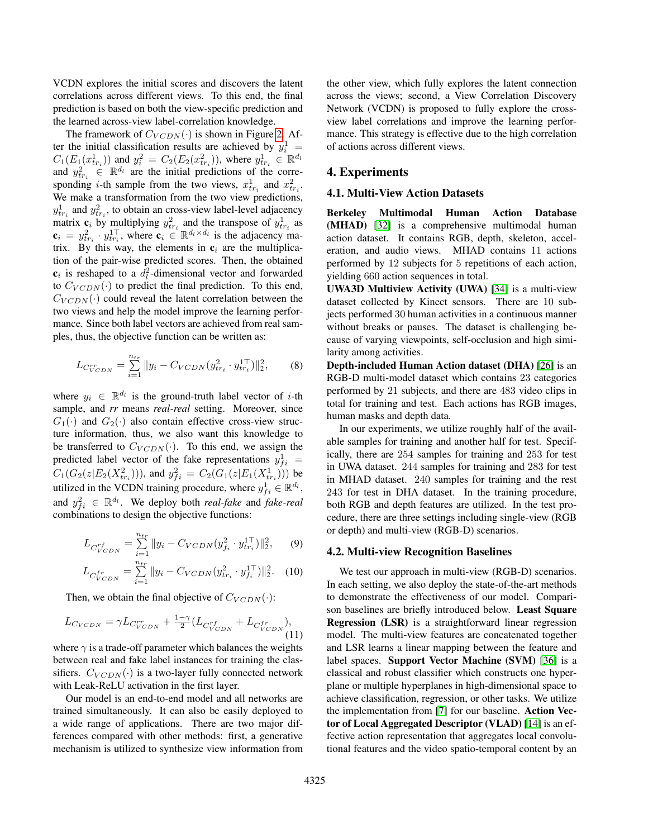VCDN explores the initial scores and discovers the latent correlations across different views. To this end, the final prediction is based on both the view-specific prediction and the learned across-view label-correlation knowledge.

The framework of  $C_{VCDN}(\cdot)$  is shown in Figure [2.](#page-1-0) After the initial classification results are achieved by  $y_i^1 =$  $C_1(E_1(x_{tr_i}^1))$  and  $y_i^2 = C_2(E_2(x_{tr_i}^2))$ , where  $y_{tr_i}^1 \in \mathbb{R}^{d_l}$ and  $y_{tr_i}^2 \in \mathbb{R}^{d_l}$  are the initial predictions of the corresponding *i*-th sample from the two views,  $x_{tr_i}^1$  and  $x_{tr_i}^2$ . We make a transformation from the two view predictions,  $y_{tr_i}^1$  and  $y_{tr_i}^2$ , to obtain an cross-view label-level adjacency matrix  $\mathbf{c}_i$  by multiplying  $y_{tr_i}^2$  and the transpose of  $y_{tr_i}^1$  as  $\mathbf{c}_i = y_{tr_i}^2 \cdot y_{tr_i}^{1\top}$ , where  $\mathbf{c}_i \in \mathbb{R}^{d_l \times d_l}$  is the adjacency matrix. By this way, the elements in  $c_i$  are the multiplication of the pair-wise predicted scores. Then, the obtained  $\mathbf{c}_i$  is reshaped to a  $d_i^2$ -dimensional vector and forwarded to  $C_{VCDN}(\cdot)$  to predict the final prediction. To this end,  $C_{VCDN}(\cdot)$  could reveal the latent correlation between the two views and help the model improve the learning performance. Since both label vectors are achieved from real samples, thus, the objective function can be written as:

$$
L_{C_{VCDN}^{rr}} = \sum_{i=1}^{n_{tr}} ||y_i - C_{VCDN}(y_{tr_i}^2 \cdot y_{tr_i}^{1\top})||_2^2, \qquad (8)
$$

where  $y_i \in \mathbb{R}^{d_l}$  is the ground-truth label vector of *i*-th sample, and *rr* means *real-real* setting. Moreover, since  $G_1(\cdot)$  and  $G_2(\cdot)$  also contain effective cross-view structure information, thus, we also want this knowledge to be transferred to  $C_{VCDN}(\cdot)$ . To this end, we assign the predicted label vector of the fake representations  $y_{fi}^1 =$  $C_1(G_2(z|E_2(X_{tr_i}^2))),$  and  $y_{fi}^2 = C_2(G_1(z|E_1(X_{tr_i}^1)))$  be utilized in the VCDN training procedure, where  $y_{fi}^1 \in \mathbb{R}^{d_l}$ , and  $y_{fi}^2 \in \mathbb{R}^{d_l}$ . We deploy both *real-fake* and *fake-real* combinations to design the objective functions:

$$
L_{C_{VCDN}^{rf}} = \sum_{i=1}^{n_{tr}} ||y_i - C_{VCDN}(y_{f_i}^2 \cdot y_{tr_i}^{1\top})||_2^2, \qquad (9)
$$

$$
L_{C_{VCDN}^{fr}} = \sum_{i=1}^{n_{tr}} ||y_i - C_{VCDN}(y_{tr_i}^2 \cdot y_{f_i}^{1\top})||_2^2.
$$
 (10)

Then, we obtain the final objective of  $C_{VCDN}(\cdot)$ :

$$
L_{C_{VCDN}} = \gamma L_{C_{VCDN}^{rr}} + \frac{1-\gamma}{2} (L_{C_{VCDN}^{rf}} + L_{C_{VCDN}^{fr}}),
$$
\n(11)

where  $\gamma$  is a trade-off parameter which balances the weights between real and fake label instances for training the classifiers.  $C_{VCDN}(\cdot)$  is a two-layer fully connected network with Leak-ReLU activation in the first layer.

Our model is an end-to-end model and all networks are trained simultaneously. It can also be easily deployed to a wide range of applications. There are two major differences compared with other methods: first, a generative mechanism is utilized to synthesize view information from the other view, which fully explores the latent connection across the views; second, a View Correlation Discovery Network (VCDN) is proposed to fully explore the crossview label correlations and improve the learning performance. This strategy is effective due to the high correlation of actions across different views.

#### 4. Experiments

## 4.1. Multi-View Action Datasets

Berkeley Multimodal Human Action Database (MHAD) [\[32\]](#page-8-7) is a comprehensive multimodal human action dataset. It contains RGB, depth, skeleton, acceleration, and audio views. MHAD contains 11 actions performed by 12 subjects for 5 repetitions of each action, yielding 660 action sequences in total.

UWA3D Multiview Activity (UWA) [\[34\]](#page-9-3) is a multi-view dataset collected by Kinect sensors. There are 10 subjects performed 30 human activities in a continuous manner without breaks or pauses. The dataset is challenging because of varying viewpoints, self-occlusion and high similarity among activities.

Depth-included Human Action dataset (DHA) [\[26\]](#page-8-6) is an RGB-D multi-model dataset which contains 23 categories performed by 21 subjects, and there are 483 video clips in total for training and test. Each actions has RGB images, human masks and depth data.

In our experiments, we utilize roughly half of the available samples for training and another half for test. Specifically, there are 254 samples for training and 253 for test in UWA dataset. 244 samples for training and 283 for test in MHAD dataset. 240 samples for training and the rest 243 for test in DHA dataset. In the training procedure, both RGB and depth features are utilized. In the test procedure, there are three settings including single-view (RGB or depth) and multi-view (RGB-D) scenarios.

#### 4.2. Multi-view Recognition Baselines

We test our approach in multi-view (RGB-D) scenarios. In each setting, we also deploy the state-of-the-art methods to demonstrate the effectiveness of our model. Comparison baselines are briefly introduced below. Least Square Regression (LSR) is a straightforward linear regression model. The multi-view features are concatenated together and LSR learns a linear mapping between the feature and label spaces. Support Vector Machine (SVM) [\[36\]](#page-9-30) is a classical and robust classifier which constructs one hyperplane or multiple hyperplanes in high-dimensional space to achieve classification, regression, or other tasks. We utilize the implementation from [\[7\]](#page-8-27) for our baseline. Action Vector of Local Aggregated Descriptor (VLAD) [\[14\]](#page-8-28) is an effective action representation that aggregates local convolutional features and the video spatio-temporal content by an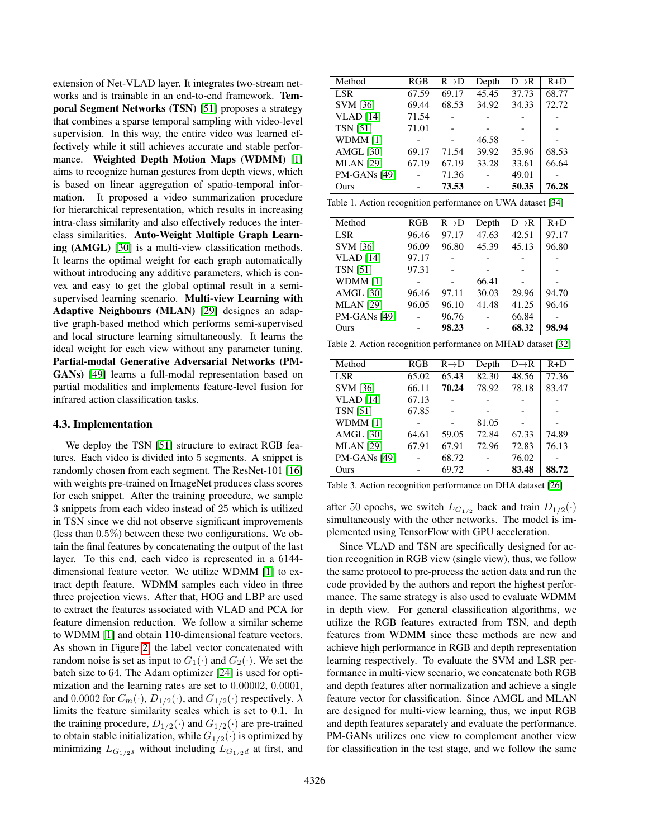extension of Net-VLAD layer. It integrates two-stream networks and is trainable in an end-to-end framework. Temporal Segment Networks (TSN) [\[51\]](#page-9-31) proposes a strategy that combines a sparse temporal sampling with video-level supervision. In this way, the entire video was learned effectively while it still achieves accurate and stable performance. Weighted Depth Motion Maps (WDMM) [\[1\]](#page-8-8) aims to recognize human gestures from depth views, which is based on linear aggregation of spatio-temporal information. It proposed a video summarization procedure for hierarchical representation, which results in increasing intra-class similarity and also effectively reduces the interclass similarities. Auto-Weight Multiple Graph Learning (AMGL) [\[30\]](#page-8-0) is a multi-view classification methods. It learns the optimal weight for each graph automatically without introducing any additive parameters, which is convex and easy to get the global optimal result in a semisupervised learning scenario. Multi-view Learning with Adaptive Neighbours (MLAN) [\[29\]](#page-8-1) designes an adaptive graph-based method which performs semi-supervised and local structure learning simultaneously. It learns the ideal weight for each view without any parameter tuning. Partial-modal Generative Adversarial Networks (PM-GANs) [\[49\]](#page-9-15) learns a full-modal representation based on partial modalities and implements feature-level fusion for infrared action classification tasks.

## 4.3. Implementation

We deploy the TSN [\[51\]](#page-9-31) structure to extract RGB features. Each video is divided into 5 segments. A snippet is randomly chosen from each segment. The ResNet-101 [\[16\]](#page-8-29) with weights pre-trained on ImageNet produces class scores for each snippet. After the training procedure, we sample 3 snippets from each video instead of 25 which is utilized in TSN since we did not observe significant improvements (less than 0.5%) between these two configurations. We obtain the final features by concatenating the output of the last layer. To this end, each video is represented in a 6144 dimensional feature vector. We utilize WDMM [\[1\]](#page-8-8) to extract depth feature. WDMM samples each video in three three projection views. After that, HOG and LBP are used to extract the features associated with VLAD and PCA for feature dimension reduction. We follow a similar scheme to WDMM [\[1\]](#page-8-8) and obtain 110-dimensional feature vectors. As shown in Figure [2,](#page-1-0) the label vector concatenated with random noise is set as input to  $G_1(\cdot)$  and  $G_2(\cdot)$ . We set the batch size to 64. The Adam optimizer [\[24\]](#page-8-30) is used for optimization and the learning rates are set to 0.00002, 0.0001, and 0.0002 for  $C_m(\cdot)$ ,  $D_{1/2}(\cdot)$ , and  $G_{1/2}(\cdot)$  respectively.  $\lambda$ limits the feature similarity scales which is set to 0.1. In the training procedure,  $D_{1/2}(\cdot)$  and  $G_{1/2}(\cdot)$  are pre-trained to obtain stable initialization, while  $G_{1/2}(\cdot)$  is optimized by minimizing  $L_{G_{1/2}s}$  without including  $L_{G_{1/2}d}$  at first, and

| Method              | RGB   | $R \rightarrow D$ | Depth | $D\rightarrow R$ | $R+D$ |
|---------------------|-------|-------------------|-------|------------------|-------|
| <b>LSR</b>          | 67.59 | 69.17             | 45.45 | 37.73            | 68.77 |
| <b>SVM</b> [36]     | 69.44 | 68.53             | 34.92 | 34.33            | 72.72 |
| <b>VLAD</b> [14]    | 71.54 |                   |       |                  |       |
| <b>TSN [51]</b>     | 71.01 |                   |       |                  |       |
| WDMM [1]            |       |                   | 46.58 |                  |       |
| <b>AMGL</b> [30]    | 69.17 | 71.54             | 39.92 | 35.96            | 68.53 |
| <b>MLAN</b> [29]    | 67.19 | 67.19             | 33.28 | 33.61            | 66.64 |
| <b>PM-GANs</b> [49] |       | 71.36             |       | 49.01            |       |
| Ours                |       | 73.53             |       | 50.35            | 76.28 |

<span id="page-5-0"></span>Table 1. Action recognition performance on UWA dataset [\[34\]](#page-9-3)

| Method              | RGB   | $R \rightarrow D$ | Depth | $D\rightarrow R$ | $R+D$ |
|---------------------|-------|-------------------|-------|------------------|-------|
| LSR.                | 96.46 | 97.17             | 47.63 | 42.51            | 97.17 |
| <b>SVM [36]</b>     | 96.09 | 96.80             | 45.39 | 45.13            | 96.80 |
| <b>VLAD</b> [14]    | 97.17 |                   |       |                  |       |
| <b>TSN [51]</b>     | 97.31 |                   |       |                  |       |
| WDMM [1]            |       |                   | 66.41 |                  |       |
| <b>AMGL [30]</b>    | 96.46 | 97.11             | 30.03 | 29.96            | 94.70 |
| <b>MLAN</b> [29]    | 96.05 | 96.10             | 41.48 | 41.25            | 96.46 |
| <b>PM-GANs</b> [49] |       | 96.76             |       | 66.84            |       |
| Ours                |       | 98.23             |       | 68.32            | 98.94 |

<span id="page-5-1"></span>Table 2. Action recognition performance on MHAD dataset [\[32\]](#page-8-7)

| Method              | RGB   | $R \rightarrow D$ | Depth | $D\rightarrow R$ | $R+D$ |
|---------------------|-------|-------------------|-------|------------------|-------|
| <b>LSR</b>          | 65.02 | 65.43             | 82.30 | 48.56            | 77.36 |
| <b>SVM [36]</b>     | 66.11 | 70.24             | 78.92 | 78.18            | 83.47 |
| <b>VLAD</b> [14]    | 67.13 |                   |       |                  |       |
| <b>TSN [51]</b>     | 67.85 |                   |       |                  |       |
| WDMM [1]            |       |                   | 81.05 |                  |       |
| <b>AMGL [30]</b>    | 64.61 | 59.05             | 72.84 | 67.33            | 74.89 |
| <b>MLAN</b> [29]    | 67.91 | 67.91             | 72.96 | 72.83            | 76.13 |
| <b>PM-GANs</b> [49] |       | 68.72             |       | 76.02            |       |
| Ours                |       | 69.72             |       | 83.48            | 88.72 |

<span id="page-5-2"></span>Table 3. Action recognition performance on DHA dataset [\[26\]](#page-8-6)

after 50 epochs, we switch  $L_{G_{1/2}}$  back and train  $D_{1/2}(\cdot)$ simultaneously with the other networks. The model is implemented using TensorFlow with GPU acceleration.

Since VLAD and TSN are specifically designed for action recognition in RGB view (single view), thus, we follow the same protocol to pre-process the action data and run the code provided by the authors and report the highest performance. The same strategy is also used to evaluate WDMM in depth view. For general classification algorithms, we utilize the RGB features extracted from TSN, and depth features from WDMM since these methods are new and achieve high performance in RGB and depth representation learning respectively. To evaluate the SVM and LSR performance in multi-view scenario, we concatenate both RGB and depth features after normalization and achieve a single feature vector for classification. Since AMGL and MLAN are designed for multi-view learning, thus, we input RGB and depth features separately and evaluate the performance. PM-GANs utilizes one view to complement another view for classification in the test stage, and we follow the same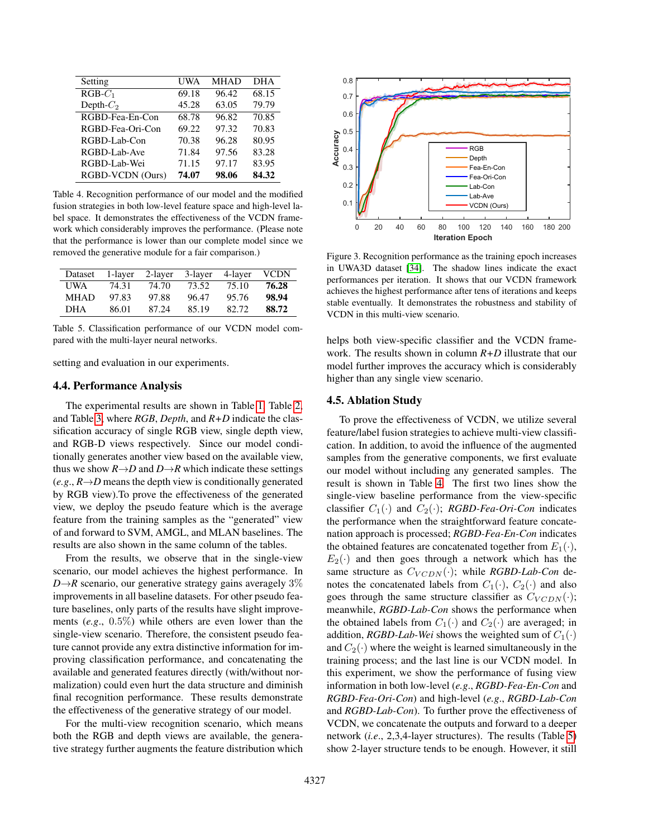| Setting          | UWA   | <b>MHAD</b> | <b>DHA</b> |
|------------------|-------|-------------|------------|
| $RGB-C_1$        | 69.18 | 96.42       | 68.15      |
| Depth- $C_2$     | 45.28 | 63.05       | 79.79      |
| RGBD-Fea-En-Con  | 68.78 | 96.82       | 70.85      |
| RGBD-Fea-Ori-Con | 69.22 | 97.32       | 70.83      |
| RGBD-Lab-Con     | 70.38 | 96.28       | 80.95      |
| RGBD-Lab-Ave     | 71.84 | 97.56       | 83.28      |
| RGBD-Lab-Wei     | 71.15 | 97.17       | 83.95      |
| RGBD-VCDN (Ours) | 74.07 | 98.06       | 84.32      |

<span id="page-6-0"></span>Table 4. Recognition performance of our model and the modified fusion strategies in both low-level feature space and high-level label space. It demonstrates the effectiveness of the VCDN framework which considerably improves the performance. (Please note that the performance is lower than our complete model since we removed the generative module for a fair comparison.)

| Dataset     | 1-layer | 2-layer | 3-layer | 4-layer | <b>VCDN</b> |
|-------------|---------|---------|---------|---------|-------------|
| <b>UWA</b>  | 74.31   | 74.70   | 73.52   | 75.10   | 76.28       |
| <b>MHAD</b> | 97.83   | 97.88   | 96.47   | 95.76   | 98.94       |
| <b>DHA</b>  | 86.01   | 87.24   | 85.19   | 82.72   | 88.72       |

<span id="page-6-1"></span>Table 5. Classification performance of our VCDN model compared with the multi-layer neural networks.

setting and evaluation in our experiments.

#### 4.4. Performance Analysis

The experimental results are shown in Table [1,](#page-5-0) Table [2,](#page-5-1) and Table [3,](#page-5-2) where *RGB*, *Depth*, and *R+D* indicate the classification accuracy of single RGB view, single depth view, and RGB-D views respectively. Since our model conditionally generates another view based on the available view, thus we show  $R\rightarrow D$  and  $D\rightarrow R$  which indicate these settings  $(e.g., R \rightarrow D$  means the depth view is conditionally generated by RGB view).To prove the effectiveness of the generated view, we deploy the pseudo feature which is the average feature from the training samples as the "generated" view of and forward to SVM, AMGL, and MLAN baselines. The results are also shown in the same column of the tables.

From the results, we observe that in the single-view scenario, our model achieves the highest performance. In  $D\rightarrow R$  scenario, our generative strategy gains averagely 3% improvements in all baseline datasets. For other pseudo feature baselines, only parts of the results have slight improvements (*e.g*., 0.5%) while others are even lower than the single-view scenario. Therefore, the consistent pseudo feature cannot provide any extra distinctive information for improving classification performance, and concatenating the available and generated features directly (with/without normalization) could even hurt the data structure and diminish final recognition performance. These results demonstrate the effectiveness of the generative strategy of our model.

For the multi-view recognition scenario, which means both the RGB and depth views are available, the generative strategy further augments the feature distribution which



<span id="page-6-2"></span>Figure 3. Recognition performance as the training epoch increases in UWA3D dataset [\[34\]](#page-9-3). The shadow lines indicate the exact performances per iteration. It shows that our VCDN framework achieves the highest performance after tens of iterations and keeps stable eventually. It demonstrates the robustness and stability of VCDN in this multi-view scenario.

helps both view-specific classifier and the VCDN framework. The results shown in column *R+D* illustrate that our model further improves the accuracy which is considerably higher than any single view scenario.

#### 4.5. Ablation Study

To prove the effectiveness of VCDN, we utilize several feature/label fusion strategies to achieve multi-view classification. In addition, to avoid the influence of the augmented samples from the generative components, we first evaluate our model without including any generated samples. The result is shown in Table [4.](#page-6-0) The first two lines show the single-view baseline performance from the view-specific classifier  $C_1(\cdot)$  and  $C_2(\cdot)$ ; *RGBD-Fea-Ori-Con* indicates the performance when the straightforward feature concatenation approach is processed; *RGBD-Fea-En-Con* indicates the obtained features are concatenated together from  $E_1(\cdot)$ ,  $E_2(\cdot)$  and then goes through a network which has the same structure as  $C_{VCDN}(\cdot)$ ; while *RGBD-Lab-Con* denotes the concatenated labels from  $C_1(\cdot)$ ,  $C_2(\cdot)$  and also goes through the same structure classifier as  $C_{VCDN}(\cdot)$ ; meanwhile, *RGBD-Lab-Con* shows the performance when the obtained labels from  $C_1(\cdot)$  and  $C_2(\cdot)$  are averaged; in addition, *RGBD-Lab-Wei* shows the weighted sum of  $C_1(\cdot)$ and  $C_2(\cdot)$  where the weight is learned simultaneously in the training process; and the last line is our VCDN model. In this experiment, we show the performance of fusing view information in both low-level (*e.g*., *RGBD-Fea-En-Con* and *RGBD-Fea-Ori-Con*) and high-level (*e.g*., *RGBD-Lab-Con* and *RGBD-Lab-Con*). To further prove the effectiveness of VCDN, we concatenate the outputs and forward to a deeper network (*i.e*., 2,3,4-layer structures). The results (Table [5\)](#page-6-1) show 2-layer structure tends to be enough. However, it still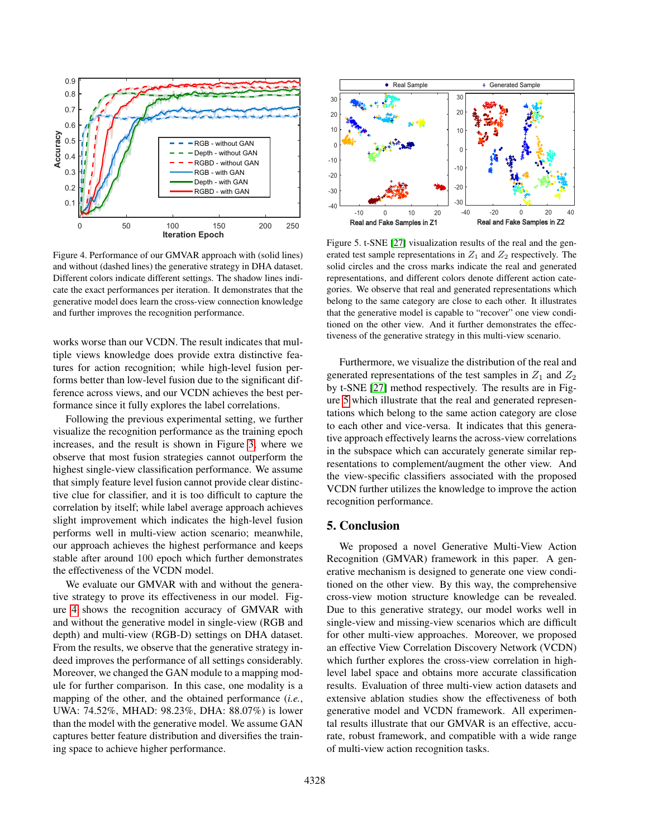

<span id="page-7-0"></span>Figure 4. Performance of our GMVAR approach with (solid lines) and without (dashed lines) the generative strategy in DHA dataset. Different colors indicate different settings. The shadow lines indicate the exact performances per iteration. It demonstrates that the generative model does learn the cross-view connection knowledge and further improves the recognition performance.

works worse than our VCDN. The result indicates that multiple views knowledge does provide extra distinctive features for action recognition; while high-level fusion performs better than low-level fusion due to the significant difference across views, and our VCDN achieves the best performance since it fully explores the label correlations.

Following the previous experimental setting, we further visualize the recognition performance as the training epoch increases, and the result is shown in Figure [3,](#page-6-2) where we observe that most fusion strategies cannot outperform the highest single-view classification performance. We assume that simply feature level fusion cannot provide clear distinctive clue for classifier, and it is too difficult to capture the correlation by itself; while label average approach achieves slight improvement which indicates the high-level fusion performs well in multi-view action scenario; meanwhile, our approach achieves the highest performance and keeps stable after around 100 epoch which further demonstrates the effectiveness of the VCDN model.

We evaluate our GMVAR with and without the generative strategy to prove its effectiveness in our model. Figure [4](#page-7-0) shows the recognition accuracy of GMVAR with and without the generative model in single-view (RGB and depth) and multi-view (RGB-D) settings on DHA dataset. From the results, we observe that the generative strategy indeed improves the performance of all settings considerably. Moreover, we changed the GAN module to a mapping module for further comparison. In this case, one modality is a mapping of the other, and the obtained performance (*i.e.*, UWA: 74.52%, MHAD: 98.23%, DHA: 88.07%) is lower than the model with the generative model. We assume GAN captures better feature distribution and diversifies the training space to achieve higher performance.



<span id="page-7-1"></span>Figure 5. t-SNE [\[27\]](#page-8-31) visualization results of the real and the generated test sample representations in  $Z_1$  and  $Z_2$  respectively. The solid circles and the cross marks indicate the real and generated representations, and different colors denote different action categories. We observe that real and generated representations which belong to the same category are close to each other. It illustrates that the generative model is capable to "recover" one view conditioned on the other view. And it further demonstrates the effectiveness of the generative strategy in this multi-view scenario.

Furthermore, we visualize the distribution of the real and generated representations of the test samples in  $Z_1$  and  $Z_2$ by t-SNE [\[27\]](#page-8-31) method respectively. The results are in Figure [5](#page-7-1) which illustrate that the real and generated representations which belong to the same action category are close to each other and vice-versa. It indicates that this generative approach effectively learns the across-view correlations in the subspace which can accurately generate similar representations to complement/augment the other view. And the view-specific classifiers associated with the proposed VCDN further utilizes the knowledge to improve the action recognition performance.

# 5. Conclusion

We proposed a novel Generative Multi-View Action Recognition (GMVAR) framework in this paper. A generative mechanism is designed to generate one view conditioned on the other view. By this way, the comprehensive cross-view motion structure knowledge can be revealed. Due to this generative strategy, our model works well in single-view and missing-view scenarios which are difficult for other multi-view approaches. Moreover, we proposed an effective View Correlation Discovery Network (VCDN) which further explores the cross-view correlation in highlevel label space and obtains more accurate classification results. Evaluation of three multi-view action datasets and extensive ablation studies show the effectiveness of both generative model and VCDN framework. All experimental results illustrate that our GMVAR is an effective, accurate, robust framework, and compatible with a wide range of multi-view action recognition tasks.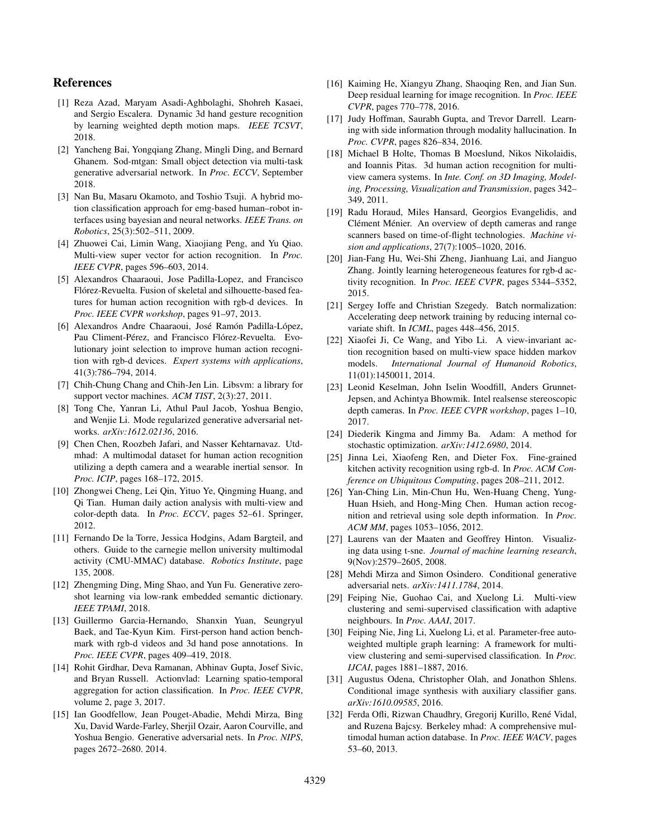# References

- <span id="page-8-8"></span>[1] Reza Azad, Maryam Asadi-Aghbolaghi, Shohreh Kasaei, and Sergio Escalera. Dynamic 3d hand gesture recognition by learning weighted depth motion maps. *IEEE TCSVT*, 2018.
- <span id="page-8-25"></span>[2] Yancheng Bai, Yongqiang Zhang, Mingli Ding, and Bernard Ghanem. Sod-mtgan: Small object detection via multi-task generative adversarial network. In *Proc. ECCV*, September 2018.
- <span id="page-8-9"></span>[3] Nan Bu, Masaru Okamoto, and Toshio Tsuji. A hybrid motion classification approach for emg-based human–robot interfaces using bayesian and neural networks. *IEEE Trans. on Robotics*, 25(3):502–511, 2009.
- <span id="page-8-3"></span>[4] Zhuowei Cai, Limin Wang, Xiaojiang Peng, and Yu Qiao. Multi-view super vector for action recognition. In *Proc. IEEE CVPR*, pages 596–603, 2014.
- <span id="page-8-17"></span>[5] Alexandros Chaaraoui, Jose Padilla-Lopez, and Francisco Flórez-Revuelta. Fusion of skeletal and silhouette-based features for human action recognition with rgb-d devices. In *Proc. IEEE CVPR workshop*, pages 91–97, 2013.
- <span id="page-8-14"></span>[6] Alexandros Andre Chaaraoui, José Ramón Padilla-López, Pau Climent-Pérez, and Francisco Flórez-Revuelta. Evolutionary joint selection to improve human action recognition with rgb-d devices. *Expert systems with applications*, 41(3):786–794, 2014.
- <span id="page-8-27"></span>[7] Chih-Chung Chang and Chih-Jen Lin. Libsvm: a library for support vector machines. *ACM TIST*, 2(3):27, 2011.
- <span id="page-8-21"></span>[8] Tong Che, Yanran Li, Athul Paul Jacob, Yoshua Bengio, and Wenjie Li. Mode regularized generative adversarial networks. *arXiv:1612.02136*, 2016.
- <span id="page-8-11"></span>[9] Chen Chen, Roozbeh Jafari, and Nasser Kehtarnavaz. Utdmhad: A multimodal dataset for human action recognition utilizing a depth camera and a wearable inertial sensor. In *Proc. ICIP*, pages 168–172, 2015.
- <span id="page-8-2"></span>[10] Zhongwei Cheng, Lei Qin, Yituo Ye, Qingming Huang, and Qi Tian. Human daily action analysis with multi-view and color-depth data. In *Proc. ECCV*, pages 52–61. Springer, 2012.
- <span id="page-8-10"></span>[11] Fernando De la Torre, Jessica Hodgins, Adam Bargteil, and others. Guide to the carnegie mellon university multimodal activity (CMU-MMAC) database. *Robotics Institute*, page 135, 2008.
- <span id="page-8-24"></span>[12] Zhengming Ding, Ming Shao, and Yun Fu. Generative zeroshot learning via low-rank embedded semantic dictionary. *IEEE TPAMI*, 2018.
- <span id="page-8-19"></span>[13] Guillermo Garcia-Hernando, Shanxin Yuan, Seungryul Baek, and Tae-Kyun Kim. First-person hand action benchmark with rgb-d videos and 3d hand pose annotations. In *Proc. IEEE CVPR*, pages 409–419, 2018.
- <span id="page-8-28"></span>[14] Rohit Girdhar, Deva Ramanan, Abhinav Gupta, Josef Sivic, and Bryan Russell. Actionvlad: Learning spatio-temporal aggregation for action classification. In *Proc. IEEE CVPR*, volume 2, page 3, 2017.
- <span id="page-8-20"></span>[15] Ian Goodfellow, Jean Pouget-Abadie, Mehdi Mirza, Bing Xu, David Warde-Farley, Sherjil Ozair, Aaron Courville, and Yoshua Bengio. Generative adversarial nets. In *Proc. NIPS*, pages 2672–2680. 2014.
- <span id="page-8-29"></span>[16] Kaiming He, Xiangyu Zhang, Shaoqing Ren, and Jian Sun. Deep residual learning for image recognition. In *Proc. IEEE CVPR*, pages 770–778, 2016.
- <span id="page-8-18"></span>[17] Judy Hoffman, Saurabh Gupta, and Trevor Darrell. Learning with side information through modality hallucination. In *Proc. CVPR*, pages 826–834, 2016.
- <span id="page-8-4"></span>[18] Michael B Holte, Thomas B Moeslund, Nikos Nikolaidis, and Ioannis Pitas. 3d human action recognition for multiview camera systems. In *Inte. Conf. on 3D Imaging, Modeling, Processing, Visualization and Transmission*, pages 342– 349, 2011.
- <span id="page-8-13"></span>[19] Radu Horaud, Miles Hansard, Georgios Evangelidis, and Clément Ménier. An overview of depth cameras and range scanners based on time-of-flight technologies. *Machine vision and applications*, 27(7):1005–1020, 2016.
- <span id="page-8-16"></span>[20] Jian-Fang Hu, Wei-Shi Zheng, Jianhuang Lai, and Jianguo Zhang. Jointly learning heterogeneous features for rgb-d activity recognition. In *Proc. IEEE CVPR*, pages 5344–5352, 2015.
- <span id="page-8-26"></span>[21] Sergey Ioffe and Christian Szegedy. Batch normalization: Accelerating deep network training by reducing internal covariate shift. In *ICML*, pages 448–456, 2015.
- <span id="page-8-5"></span>[22] Xiaofei Ji, Ce Wang, and Yibo Li. A view-invariant action recognition based on multi-view space hidden markov models. *International Journal of Humanoid Robotics*, 11(01):1450011, 2014.
- <span id="page-8-12"></span>[23] Leonid Keselman, John Iselin Woodfill, Anders Grunnet-Jepsen, and Achintya Bhowmik. Intel realsense stereoscopic depth cameras. In *Proc. IEEE CVPR workshop*, pages 1–10, 2017.
- <span id="page-8-30"></span>[24] Diederik Kingma and Jimmy Ba. Adam: A method for stochastic optimization. *arXiv:1412.6980*, 2014.
- <span id="page-8-15"></span>[25] Jinna Lei, Xiaofeng Ren, and Dieter Fox. Fine-grained kitchen activity recognition using rgb-d. In *Proc. ACM Conference on Ubiquitous Computing*, pages 208–211, 2012.
- <span id="page-8-6"></span>[26] Yan-Ching Lin, Min-Chun Hu, Wen-Huang Cheng, Yung-Huan Hsieh, and Hong-Ming Chen. Human action recognition and retrieval using sole depth information. In *Proc. ACM MM*, pages 1053–1056, 2012.
- <span id="page-8-31"></span>[27] Laurens van der Maaten and Geoffrey Hinton. Visualizing data using t-sne. *Journal of machine learning research*, 9(Nov):2579–2605, 2008.
- <span id="page-8-22"></span>[28] Mehdi Mirza and Simon Osindero. Conditional generative adversarial nets. *arXiv:1411.1784*, 2014.
- <span id="page-8-1"></span>[29] Feiping Nie, Guohao Cai, and Xuelong Li. Multi-view clustering and semi-supervised classification with adaptive neighbours. In *Proc. AAAI*, 2017.
- <span id="page-8-0"></span>[30] Feiping Nie, Jing Li, Xuelong Li, et al. Parameter-free autoweighted multiple graph learning: A framework for multiview clustering and semi-supervised classification. In *Proc. IJCAI*, pages 1881–1887, 2016.
- <span id="page-8-23"></span>[31] Augustus Odena, Christopher Olah, and Jonathon Shlens. Conditional image synthesis with auxiliary classifier gans. *arXiv:1610.09585*, 2016.
- <span id="page-8-7"></span>[32] Ferda Ofli, Rizwan Chaudhry, Gregorij Kurillo, René Vidal, and Ruzena Bajcsy. Berkeley mhad: A comprehensive multimodal human action database. In *Proc. IEEE WACV*, pages 53–60, 2013.